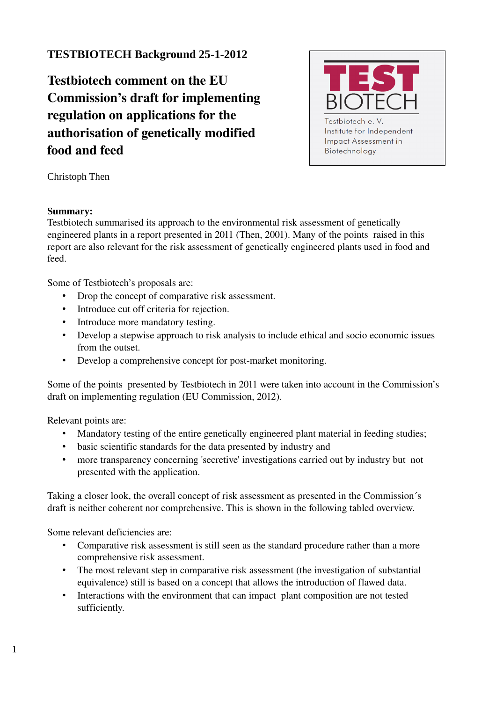## **TESTBIOTECH Background 25-1-2012**

Testbiotech comment on the EU Commission's draft for implementing regulation on applications for the authorisation of genetically modified food and feed



Christoph Then

## **Summary:**

Testbiotech summarised its approach to the environmental risk assessment of genetically engineered plants in a report presented in 2011 (Then, 2001). Many of the points raised in this report are also relevant for the risk assessment of genetically engineered plants used in food and feed.

Some of Testbiotech's proposals are:

- Drop the concept of comparative risk assessment.
- Introduce cut off criteria for rejection.
- Introduce more mandatory testing.
- Develop a stepwise approach to risk analysis to include ethical and socio economic issues from the outset.
- Develop a comprehensive concept for post-market monitoring.

Some of the points presented by Testbiotech in 2011 were taken into account in the Commission's draft on implementing regulation (EU Commission, 2012).

Relevant points are:

- Mandatory testing of the entire genetically engineered plant material in feeding studies;
- basic scientific standards for the data presented by industry and
- more transparency concerning 'secretive' investigations carried out by industry but not presented with the application.

Taking a closer look, the overall concept of risk assessment as presented in the Commission´s draft is neither coherent nor comprehensive. This is shown in the following tabled overview.

Some relevant deficiencies are:

- Comparative risk assessment is still seen as the standard procedure rather than a more comprehensive risk assessment.
- The most relevant step in comparative risk assessment (the investigation of substantial equivalence) still is based on a concept that allows the introduction of flawed data.
- Interactions with the environment that can impact plant composition are not tested sufficiently.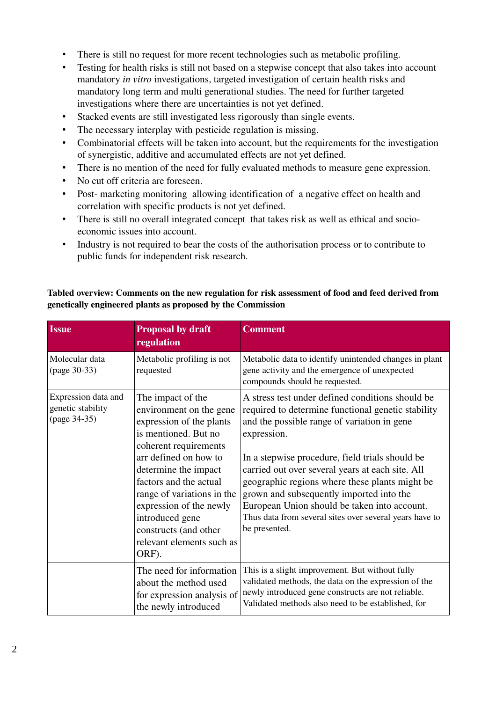- There is still no request for more recent technologies such as metabolic profiling.
- Testing for health risks is still not based on a stepwise concept that also takes into account mandatory *in vitro* investigations, targeted investigation of certain health risks and mandatory long term and multi generational studies. The need for further targeted investigations where there are uncertainties is not yet defined.
- Stacked events are still investigated less rigorously than single events.
- The necessary interplay with pesticide regulation is missing.
- Combinatorial effects will be taken into account, but the requirements for the investigation of synergistic, additive and accumulated effects are not yet defined.
- There is no mention of the need for fully evaluated methods to measure gene expression.
- No cut off criteria are foreseen.
- Post- marketing monitoring allowing identification of a negative effect on health and correlation with specific products is not yet defined.
- There is still no overall integrated concept that takes risk as well as ethical and socioeconomic issues into account.
- Industry is not required to bear the costs of the authorisation process or to contribute to public funds for independent risk research.

## Tabled overview: Comments on the new regulation for risk assessment of food and feed derived from genetically engineered plants as proposed by the Commission

| <b>Issue</b>                                             | <b>Proposal by draft</b><br>regulation                                                                                                                                                                                                                                                                                                          | <b>Comment</b>                                                                                                                                                                                                                                                                                                                                                                                                                                                                                        |
|----------------------------------------------------------|-------------------------------------------------------------------------------------------------------------------------------------------------------------------------------------------------------------------------------------------------------------------------------------------------------------------------------------------------|-------------------------------------------------------------------------------------------------------------------------------------------------------------------------------------------------------------------------------------------------------------------------------------------------------------------------------------------------------------------------------------------------------------------------------------------------------------------------------------------------------|
| Molecular data<br>(page 30-33)                           | Metabolic profiling is not<br>requested                                                                                                                                                                                                                                                                                                         | Metabolic data to identify unintended changes in plant<br>gene activity and the emergence of unexpected<br>compounds should be requested.                                                                                                                                                                                                                                                                                                                                                             |
| Expression data and<br>genetic stability<br>(page 34-35) | The impact of the<br>environment on the gene<br>expression of the plants<br>is mentioned. But no<br>coherent requirements<br>arr defined on how to<br>determine the impact<br>factors and the actual<br>range of variations in the<br>expression of the newly<br>introduced gene<br>constructs (and other<br>relevant elements such as<br>ORF). | A stress test under defined conditions should be<br>required to determine functional genetic stability<br>and the possible range of variation in gene<br>expression.<br>In a stepwise procedure, field trials should be<br>carried out over several years at each site. All<br>geographic regions where these plants might be<br>grown and subsequently imported into the<br>European Union should be taken into account.<br>Thus data from several sites over several years have to<br>be presented. |
|                                                          | The need for information<br>about the method used<br>for expression analysis of<br>the newly introduced                                                                                                                                                                                                                                         | This is a slight improvement. But without fully<br>validated methods, the data on the expression of the<br>newly introduced gene constructs are not reliable.<br>Validated methods also need to be established, for                                                                                                                                                                                                                                                                                   |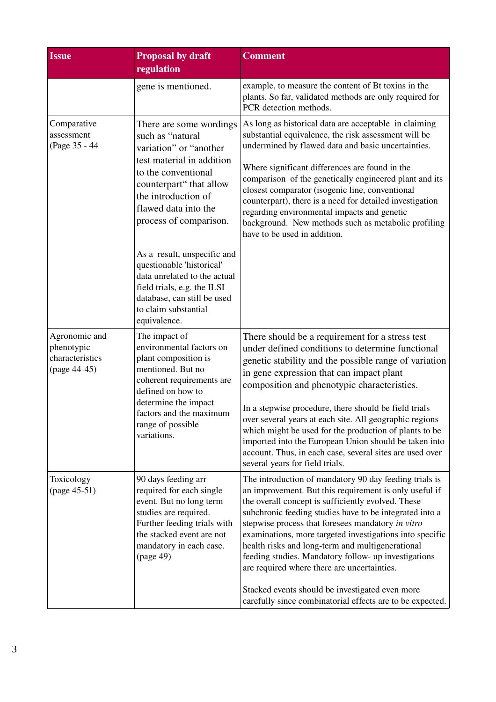| <b>Issue</b>                                                   | <b>Proposal by draft</b><br>regulation                                                                                                                                                                                          | <b>Comment</b>                                                                                                                                                                                                                                                                                                                                                                                                                                                                                                                                                                                                                |
|----------------------------------------------------------------|---------------------------------------------------------------------------------------------------------------------------------------------------------------------------------------------------------------------------------|-------------------------------------------------------------------------------------------------------------------------------------------------------------------------------------------------------------------------------------------------------------------------------------------------------------------------------------------------------------------------------------------------------------------------------------------------------------------------------------------------------------------------------------------------------------------------------------------------------------------------------|
|                                                                | gene is mentioned.                                                                                                                                                                                                              | example, to measure the content of Bt toxins in the<br>plants. So far, validated methods are only required for<br>PCR detection methods.                                                                                                                                                                                                                                                                                                                                                                                                                                                                                      |
| Comparative<br>assessment<br>(Page 35 - 44                     | There are some wordings<br>such as "natural"<br>variation" or "another<br>test material in addition<br>to the conventional<br>counterpart" that allow<br>the introduction of<br>flawed data into the<br>process of comparison.  | As long as historical data are acceptable in claiming<br>substantial equivalence, the risk assessment will be<br>undermined by flawed data and basic uncertainties.<br>Where significant differences are found in the<br>comparison of the genetically engineered plant and its<br>closest comparator (isogenic line, conventional<br>counterpart), there is a need for detailed investigation<br>regarding environmental impacts and genetic<br>background. New methods such as metabolic profiling<br>have to be used in addition.                                                                                          |
|                                                                | As a result, unspecific and<br>questionable 'historical'<br>data unrelated to the actual<br>field trials, e.g. the ILSI<br>database, can still be used<br>to claim substantial<br>equivalence.                                  |                                                                                                                                                                                                                                                                                                                                                                                                                                                                                                                                                                                                                               |
| Agronomic and<br>phenotypic<br>characteristics<br>(page 44-45) | The impact of<br>environmental factors on<br>plant composition is<br>mentioned. But no<br>coherent requirements are<br>defined on how to<br>determine the impact<br>factors and the maximum<br>range of possible<br>variations. | There should be a requirement for a stress test<br>under defined conditions to determine functional<br>genetic stability and the possible range of variation<br>in gene expression that can impact plant<br>composition and phenotypic characteristics.<br>In a stepwise procedure, there should be field trials<br>over several years at each site. All geographic regions<br>which might be used for the production of plants to be<br>imported into the European Union should be taken into<br>account. Thus, in each case, several sites are used over<br>several years for field trials.                                 |
| Toxicology<br>(page 45-51)                                     | 90 days feeding arr<br>required for each single<br>event. But no long term<br>studies are required.<br>Further feeding trials with<br>the stacked event are not<br>mandatory in each case.<br>(page 49)                         | The introduction of mandatory 90 day feeding trials is<br>an improvement. But this requirement is only useful if<br>the overall concept is sufficiently evolved. These<br>subchronic feeding studies have to be integrated into a<br>stepwise process that foresees mandatory in vitro<br>examinations, more targeted investigations into specific<br>health risks and long-term and multigenerational<br>feeding studies. Mandatory follow- up investigations<br>are required where there are uncertainties.<br>Stacked events should be investigated even more<br>carefully since combinatorial effects are to be expected. |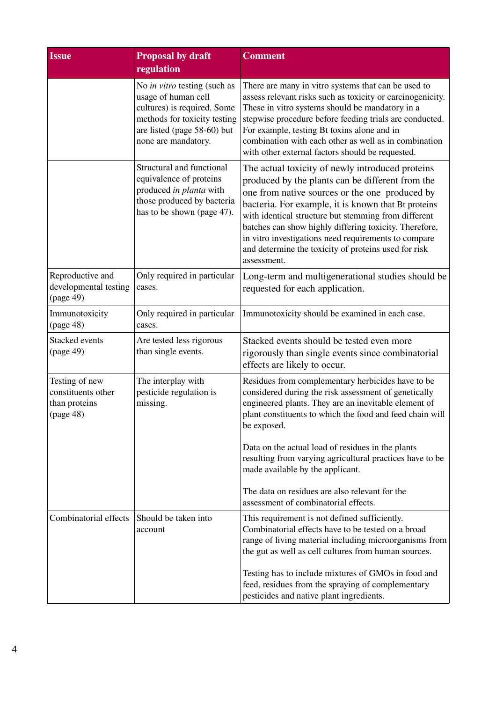| <b>Issue</b>                                                       | <b>Proposal by draft</b><br>regulation                                                                                                                                   | <b>Comment</b>                                                                                                                                                                                                                                                                                                                                                                                                                                                 |
|--------------------------------------------------------------------|--------------------------------------------------------------------------------------------------------------------------------------------------------------------------|----------------------------------------------------------------------------------------------------------------------------------------------------------------------------------------------------------------------------------------------------------------------------------------------------------------------------------------------------------------------------------------------------------------------------------------------------------------|
|                                                                    | No in vitro testing (such as<br>usage of human cell<br>cultures) is required. Some<br>methods for toxicity testing<br>are listed (page 58-60) but<br>none are mandatory. | There are many in vitro systems that can be used to<br>assess relevant risks such as toxicity or carcinogenicity.<br>These in vitro systems should be mandatory in a<br>stepwise procedure before feeding trials are conducted.<br>For example, testing Bt toxins alone and in<br>combination with each other as well as in combination<br>with other external factors should be requested.                                                                    |
|                                                                    | Structural and functional<br>equivalence of proteins<br>produced in planta with<br>those produced by bacteria<br>has to be shown (page 47).                              | The actual toxicity of newly introduced proteins<br>produced by the plants can be different from the<br>one from native sources or the one produced by<br>bacteria. For example, it is known that Bt proteins<br>with identical structure but stemming from different<br>batches can show highly differing toxicity. Therefore,<br>in vitro investigations need requirements to compare<br>and determine the toxicity of proteins used for risk<br>assessment. |
| Reproductive and<br>developmental testing<br>(page 49)             | Only required in particular<br>cases.                                                                                                                                    | Long-term and multigenerational studies should be<br>requested for each application.                                                                                                                                                                                                                                                                                                                                                                           |
| Immunotoxicity<br>(page 48)                                        | Only required in particular<br>cases.                                                                                                                                    | Immunotoxicity should be examined in each case.                                                                                                                                                                                                                                                                                                                                                                                                                |
| Stacked events<br>(page 49)                                        | Are tested less rigorous<br>than single events.                                                                                                                          | Stacked events should be tested even more<br>rigorously than single events since combinatorial<br>effects are likely to occur.                                                                                                                                                                                                                                                                                                                                 |
| Testing of new<br>constituents other<br>than proteins<br>(page 48) | The interplay with<br>pesticide regulation is<br>missing.                                                                                                                | Residues from complementary herbicides have to be<br>considered during the risk assessment of genetically<br>engineered plants. They are an inevitable element of<br>plant constituents to which the food and feed chain will<br>be exposed.<br>Data on the actual load of residues in the plants<br>resulting from varying agricultural practices have to be<br>made available by the applicant.                                                              |
|                                                                    |                                                                                                                                                                          | The data on residues are also relevant for the<br>assessment of combinatorial effects.                                                                                                                                                                                                                                                                                                                                                                         |
| Combinatorial effects                                              | Should be taken into<br>account                                                                                                                                          | This requirement is not defined sufficiently.<br>Combinatorial effects have to be tested on a broad<br>range of living material including microorganisms from<br>the gut as well as cell cultures from human sources.                                                                                                                                                                                                                                          |
|                                                                    |                                                                                                                                                                          | Testing has to include mixtures of GMOs in food and<br>feed, residues from the spraying of complementary<br>pesticides and native plant ingredients.                                                                                                                                                                                                                                                                                                           |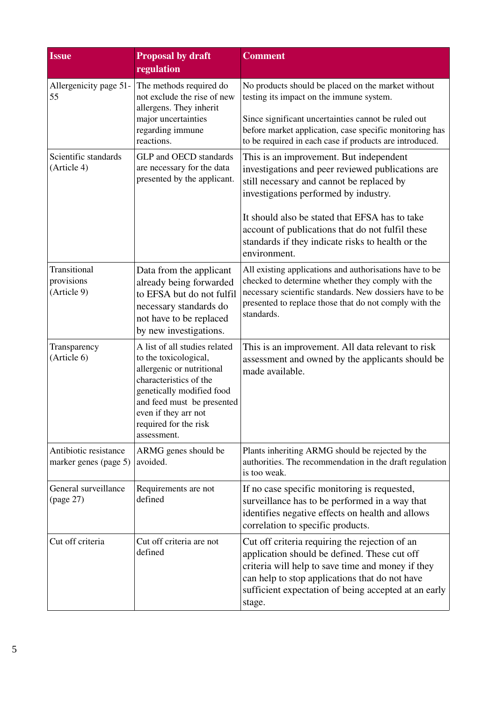| <b>Issue</b>                                   | <b>Proposal by draft</b><br>regulation                                                                                                                                                                                                   | <b>Comment</b>                                                                                                                                                                                                                                                                                                                                                |
|------------------------------------------------|------------------------------------------------------------------------------------------------------------------------------------------------------------------------------------------------------------------------------------------|---------------------------------------------------------------------------------------------------------------------------------------------------------------------------------------------------------------------------------------------------------------------------------------------------------------------------------------------------------------|
| Allergenicity page 51-<br>55                   | The methods required do<br>not exclude the rise of new<br>allergens. They inherit<br>major uncertainties<br>regarding immune<br>reactions.                                                                                               | No products should be placed on the market without<br>testing its impact on the immune system.<br>Since significant uncertainties cannot be ruled out<br>before market application, case specific monitoring has<br>to be required in each case if products are introduced.                                                                                   |
| Scientific standards<br>(Article 4)            | GLP and OECD standards<br>are necessary for the data<br>presented by the applicant.                                                                                                                                                      | This is an improvement. But independent<br>investigations and peer reviewed publications are<br>still necessary and cannot be replaced by<br>investigations performed by industry.<br>It should also be stated that EFSA has to take<br>account of publications that do not fulfil these<br>standards if they indicate risks to health or the<br>environment. |
| Transitional<br>provisions<br>(Article 9)      | Data from the applicant<br>already being forwarded<br>to EFSA but do not fulfil<br>necessary standards do<br>not have to be replaced<br>by new investigations.                                                                           | All existing applications and authorisations have to be<br>checked to determine whether they comply with the<br>necessary scientific standards. New dossiers have to be<br>presented to replace those that do not comply with the<br>standards.                                                                                                               |
| Transparency<br>(Article 6)                    | A list of all studies related<br>to the toxicological,<br>allergenic or nutritional<br>characteristics of the<br>genetically modified food<br>and feed must be presented<br>even if they arr not<br>required for the risk<br>assessment. | This is an improvement. All data relevant to risk<br>assessment and owned by the applicants should be<br>made available.                                                                                                                                                                                                                                      |
| Antibiotic resistance<br>marker genes (page 5) | ARMG genes should be<br>avoided.                                                                                                                                                                                                         | Plants inheriting ARMG should be rejected by the<br>authorities. The recommendation in the draft regulation<br>is too weak.                                                                                                                                                                                                                                   |
| General surveillance<br>(page 27)              | Requirements are not<br>defined                                                                                                                                                                                                          | If no case specific monitoring is requested,<br>surveillance has to be performed in a way that<br>identifies negative effects on health and allows<br>correlation to specific products.                                                                                                                                                                       |
| Cut off criteria                               | Cut off criteria are not<br>defined                                                                                                                                                                                                      | Cut off criteria requiring the rejection of an<br>application should be defined. These cut off<br>criteria will help to save time and money if they<br>can help to stop applications that do not have<br>sufficient expectation of being accepted at an early<br>stage.                                                                                       |